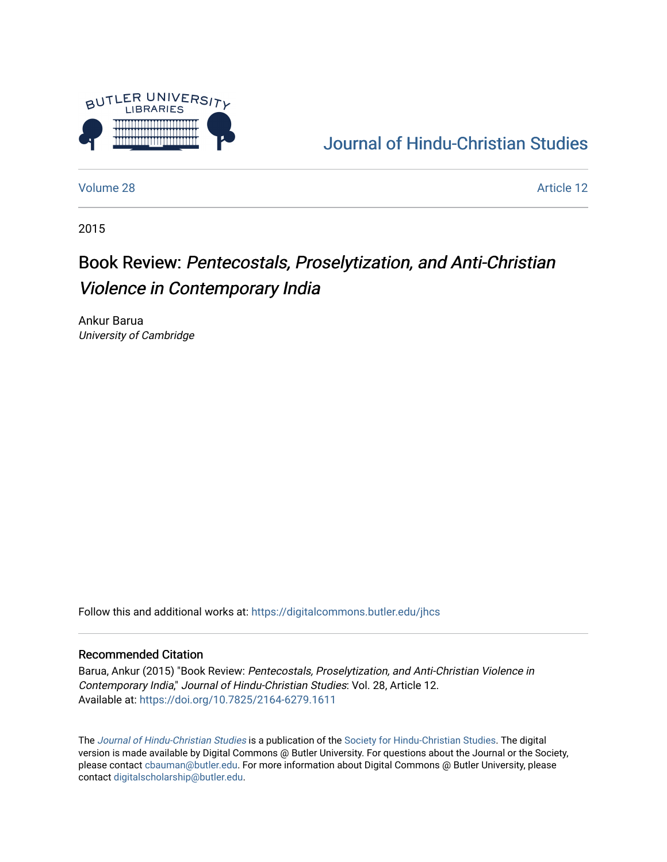

## [Journal of Hindu-Christian Studies](https://digitalcommons.butler.edu/jhcs)

[Volume 28](https://digitalcommons.butler.edu/jhcs/vol28) Article 12

2015

# Book Review: Pentecostals, Proselytization, and Anti-Christian Violence in Contemporary India

Ankur Barua University of Cambridge

Follow this and additional works at: [https://digitalcommons.butler.edu/jhcs](https://digitalcommons.butler.edu/jhcs?utm_source=digitalcommons.butler.edu%2Fjhcs%2Fvol28%2Fiss1%2F12&utm_medium=PDF&utm_campaign=PDFCoverPages)

#### Recommended Citation

Barua, Ankur (2015) "Book Review: Pentecostals, Proselytization, and Anti-Christian Violence in Contemporary India," Journal of Hindu-Christian Studies: Vol. 28, Article 12. Available at:<https://doi.org/10.7825/2164-6279.1611>

The [Journal of Hindu-Christian Studies](https://digitalcommons.butler.edu/jhcs) is a publication of the [Society for Hindu-Christian Studies](http://www.hcstudies.org/). The digital version is made available by Digital Commons @ Butler University. For questions about the Journal or the Society, please contact [cbauman@butler.edu](mailto:cbauman@butler.edu). For more information about Digital Commons @ Butler University, please contact [digitalscholarship@butler.edu](mailto:digitalscholarship@butler.edu).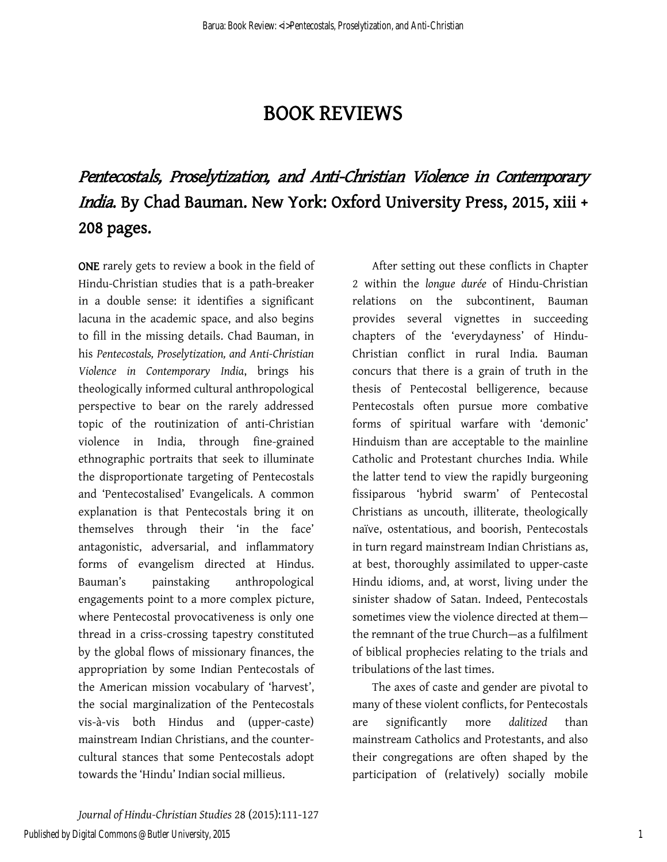### BOOK REVIEWS

# Pentecostals, Proselytization, and Anti-Christian Violence in Contemporary India. By Chad Bauman. New York: Oxford University Press, 2015, xiii + 208 pages.

ONE rarely gets to review a book in the field of Hindu-Christian studies that is a path-breaker in a double sense: it identifies a significant lacuna in the academic space, and also begins to fill in the missing details. Chad Bauman, in his *Pentecostals, Proselytization, and Anti-Christian Violence in Contemporary India*, brings his theologically informed cultural anthropological perspective to bear on the rarely addressed topic of the routinization of anti-Christian violence in India, through fine-grained ethnographic portraits that seek to illuminate the disproportionate targeting of Pentecostals and 'Pentecostalised' Evangelicals. A common explanation is that Pentecostals bring it on themselves through their 'in the face' antagonistic, adversarial, and inflammatory forms of evangelism directed at Hindus. Bauman's painstaking anthropological engagements point to a more complex picture, where Pentecostal provocativeness is only one thread in a criss-crossing tapestry constituted by the global flows of missionary finances, the appropriation by some Indian Pentecostals of the American mission vocabulary of 'harvest', the social marginalization of the Pentecostals vis-à-vis both Hindus and (upper-caste) mainstream Indian Christians, and the countercultural stances that some Pentecostals adopt towards the 'Hindu' Indian social millieus.

After setting out these conflicts in Chapter 2 within the *longue durée* of Hindu-Christian relations on the subcontinent, Bauman provides several vignettes in succeeding chapters of the 'everydayness' of Hindu-Christian conflict in rural India. Bauman concurs that there is a grain of truth in the thesis of Pentecostal belligerence, because Pentecostals often pursue more combative forms of spiritual warfare with 'demonic' Hinduism than are acceptable to the mainline Catholic and Protestant churches India. While the latter tend to view the rapidly burgeoning fissiparous 'hybrid swarm' of Pentecostal Christians as uncouth, illiterate, theologically naïve, ostentatious, and boorish, Pentecostals in turn regard mainstream Indian Christians as, at best, thoroughly assimilated to upper-caste Hindu idioms, and, at worst, living under the sinister shadow of Satan. Indeed, Pentecostals sometimes view the violence directed at them the remnant of the true Church—as a fulfilment of biblical prophecies relating to the trials and tribulations of the last times.

The axes of caste and gender are pivotal to many of these violent conflicts, for Pentecostals are significantly more *dalitized* than mainstream Catholics and Protestants, and also their congregations are often shaped by the participation of (relatively) socially mobile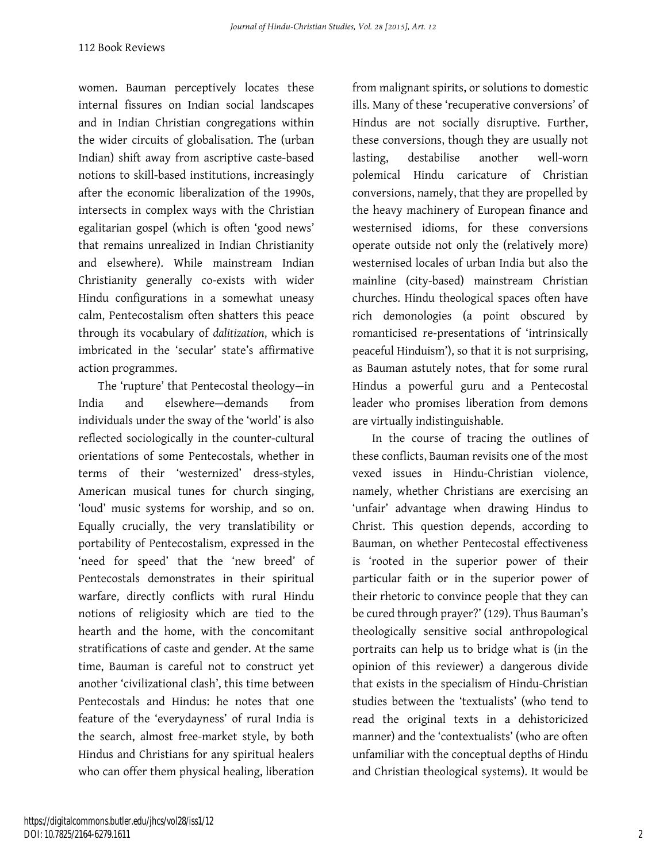women. Bauman perceptively locates these internal fissures on Indian social landscapes and in Indian Christian congregations within the wider circuits of globalisation. The (urban Indian) shift away from ascriptive caste-based notions to skill-based institutions, increasingly after the economic liberalization of the 1990s, intersects in complex ways with the Christian egalitarian gospel (which is often 'good news' that remains unrealized in Indian Christianity and elsewhere). While mainstream Indian Christianity generally co-exists with wider Hindu configurations in a somewhat uneasy calm, Pentecostalism often shatters this peace through its vocabulary of *dalitization*, which is imbricated in the 'secular' state's affirmative action programmes.

The 'rupture' that Pentecostal theology—in India and elsewhere—demands from individuals under the sway of the 'world' is also reflected sociologically in the counter-cultural orientations of some Pentecostals, whether in terms of their 'westernized' dress-styles, American musical tunes for church singing, 'loud' music systems for worship, and so on. Equally crucially, the very translatibility or portability of Pentecostalism, expressed in the 'need for speed' that the 'new breed' of Pentecostals demonstrates in their spiritual warfare, directly conflicts with rural Hindu notions of religiosity which are tied to the hearth and the home, with the concomitant stratifications of caste and gender. At the same time, Bauman is careful not to construct yet another 'civilizational clash', this time between Pentecostals and Hindus: he notes that one feature of the 'everydayness' of rural India is the search, almost free-market style, by both Hindus and Christians for any spiritual healers who can offer them physical healing, liberation

from malignant spirits, or solutions to domestic ills. Many of these 'recuperative conversions' of Hindus are not socially disruptive. Further, these conversions, though they are usually not lasting, destabilise another well-worn polemical Hindu caricature of Christian conversions, namely, that they are propelled by the heavy machinery of European finance and westernised idioms, for these conversions operate outside not only the (relatively more) westernised locales of urban India but also the mainline (city-based) mainstream Christian churches. Hindu theological spaces often have rich demonologies (a point obscured by romanticised re-presentations of 'intrinsically peaceful Hinduism'), so that it is not surprising, as Bauman astutely notes, that for some rural Hindus a powerful guru and a Pentecostal leader who promises liberation from demons are virtually indistinguishable.

In the course of tracing the outlines of these conflicts, Bauman revisits one of the most vexed issues in Hindu-Christian violence, namely, whether Christians are exercising an 'unfair' advantage when drawing Hindus to Christ. This question depends, according to Bauman, on whether Pentecostal effectiveness is 'rooted in the superior power of their particular faith or in the superior power of their rhetoric to convince people that they can be cured through prayer?' (129). Thus Bauman's theologically sensitive social anthropological portraits can help us to bridge what is (in the opinion of this reviewer) a dangerous divide that exists in the specialism of Hindu-Christian studies between the 'textualists' (who tend to read the original texts in a dehistoricized manner) and the 'contextualists' (who are often unfamiliar with the conceptual depths of Hindu and Christian theological systems). It would be